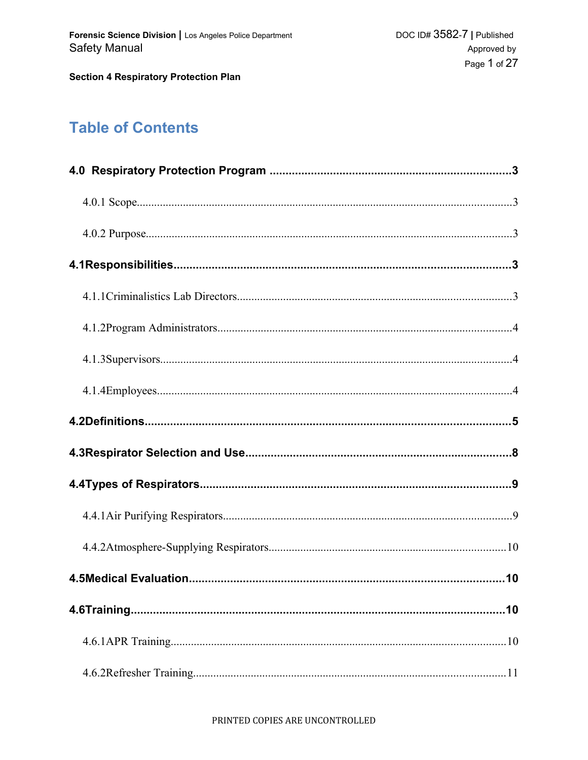# **Table of Contents**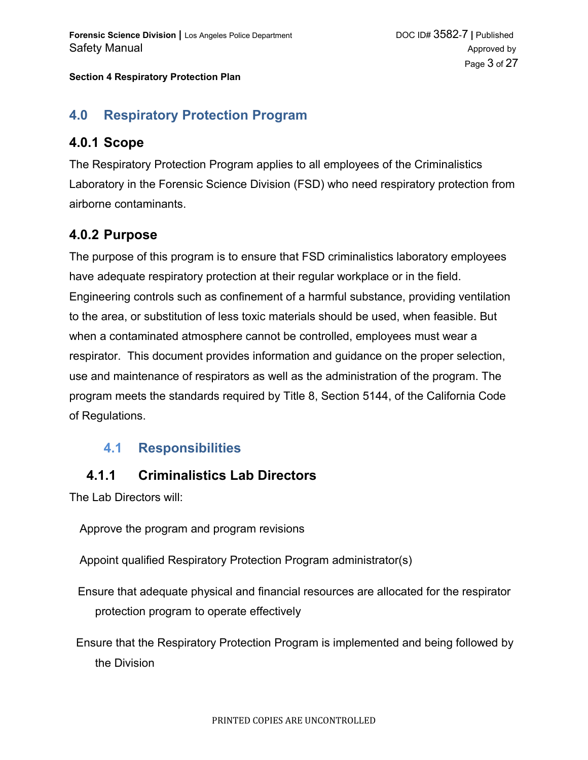## **4.0 Respiratory Protection Program**

### **4.0.1 Scope**

The Respiratory Protection Program applies to all employees of the Criminalistics Laboratory in the Forensic Science Division (FSD) who need respiratory protection from airborne contaminants.

### **4.0.2 Purpose**

The purpose of this program is to ensure that FSD criminalistics laboratory employees have adequate respiratory protection at their regular workplace or in the field. Engineering controls such as confinement of a harmful substance, providing ventilation to the area, or substitution of less toxic materials should be used, when feasible. But when a contaminated atmosphere cannot be controlled, employees must wear a respirator. This document provides information and guidance on the proper selection, use and maintenance of respirators as well as the administration of the program. The program meets the standards required by Title 8, Section 5144, of the California Code of Regulations.

## **4.1 Responsibilities**

## **4.1.1 Criminalistics Lab Directors**

The Lab Directors will:

Approve the program and program revisions

Appoint qualified Respiratory Protection Program administrator(s)

Ensure that adequate physical and financial resources are allocated for the respirator protection program to operate effectively

Ensure that the Respiratory Protection Program is implemented and being followed by the Division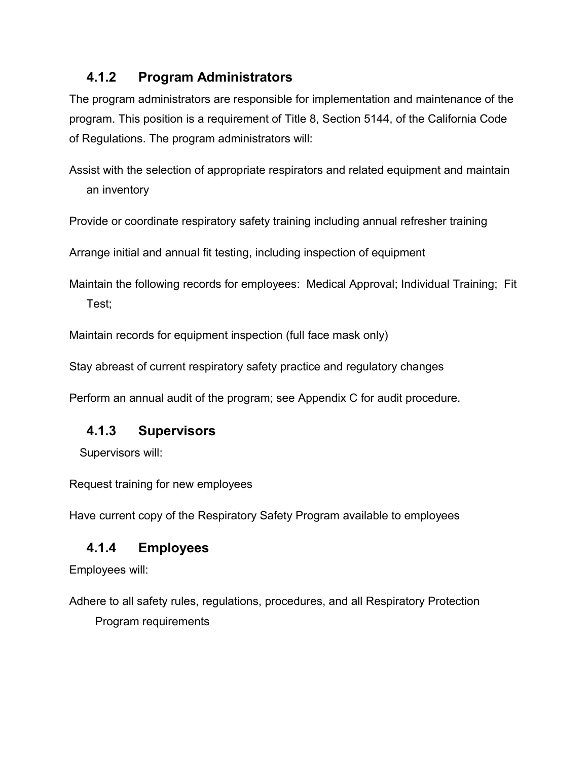## **4.1.2 Program Administrators**

The program administrators are responsible for implementation and maintenance of the program. This position is a requirement of Title 8, Section 5144, of the California Code of Regulations. The program administrators will:

Assist with the selection of appropriate respirators and related equipment and maintain an inventory

Provide or coordinate respiratory safety training including annual refresher training

Arrange initial and annual fit testing, including inspection of equipment

Maintain the following records for employees: Medical Approval; Individual Training; Fit Test;

Maintain records for equipment inspection (full face mask only)

Stay abreast of current respiratory safety practice and regulatory changes

Perform an annual audit of the program; see Appendix C for audit procedure.

## **4.1.3 Supervisors**

Supervisors will:

Request training for new employees

Have current copy of the Respiratory Safety Program available to employees

## **4.1.4 Employees**

Employees will:

Adhere to all safety rules, regulations, procedures, and all Respiratory Protection

Program requirements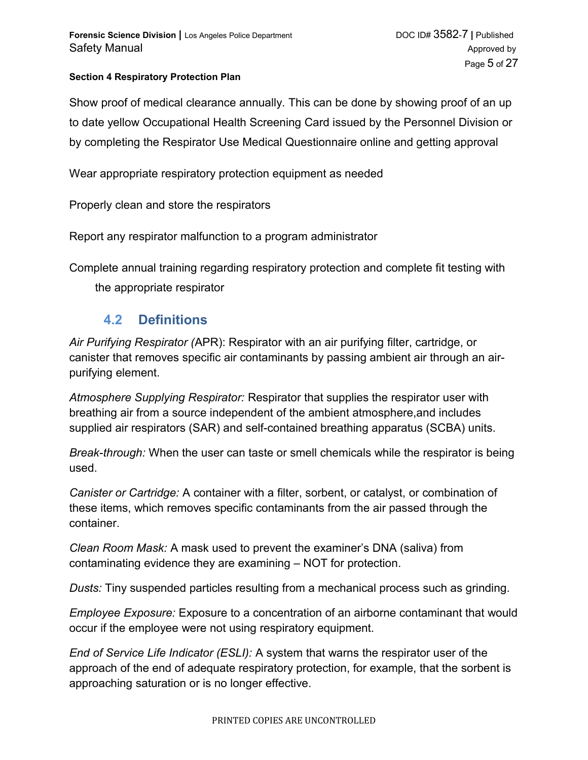Show proof of medical clearance annually. This can be done by showing proof of an up to date yellow Occupational Health Screening Card issued by the Personnel Division or by completing the Respirator Use Medical Questionnaire online and getting approval

Wear appropriate respiratory protection equipment as needed

Properly clean and store the respirators

Report any respirator malfunction to a program administrator

Complete annual training regarding respiratory protection and complete fit testing with

the appropriate respirator

### **4.2 Definitions**

*Air Purifying Respirator (*APR): Respirator with an air purifying filter, cartridge, or canister that removes specific air contaminants by passing ambient air through an airpurifying element.

*Atmosphere Supplying Respirator:* Respirator that supplies the respirator user with breathing air from a source independent of the ambient atmosphere,and includes supplied air respirators (SAR) and self-contained breathing apparatus (SCBA) units.

*Break*-*through:* When the user can taste or smell chemicals while the respirator is being used.

*Canister or Cartridge:* A container with a filter, sorbent, or catalyst, or combination of these items, which removes specific contaminants from the air passed through the container.

*Clean Room Mask:* A mask used to prevent the examiner's DNA (saliva) from contaminating evidence they are examining – NOT for protection.

*Dusts:* Tiny suspended particles resulting from a mechanical process such as grinding.

*Employee Exposure:* Exposure to a concentration of an airborne contaminant that would occur if the employee were not using respiratory equipment.

*End of Service Life Indicator (ESLI):* A system that warns the respirator user of the approach of the end of adequate respiratory protection, for example, that the sorbent is approaching saturation or is no longer effective.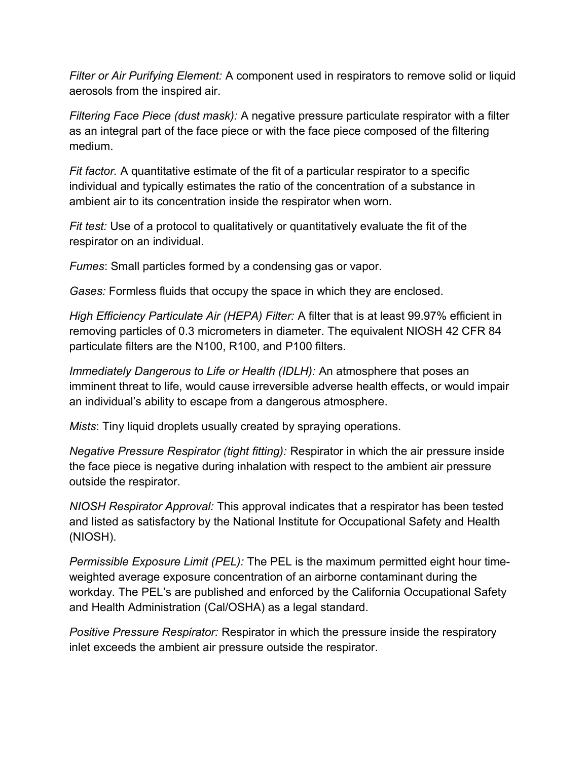*Filter or Air Purifying Element:* A component used in respirators to remove solid or liquid aerosols from the inspired air.

*Filtering Face Piece (dust mask):* A negative pressure particulate respirator with a filter as an integral part of the face piece or with the face piece composed of the filtering medium.

*Fit factor.* A quantitative estimate of the fit of a particular respirator to a specific individual and typically estimates the ratio of the concentration of a substance in ambient air to its concentration inside the respirator when worn.

*Fit test:* Use of a protocol to qualitatively or quantitatively evaluate the fit of the respirator on an individual.

*Fumes*: Small particles formed by a condensing gas or vapor.

*Gases:* Formless fluids that occupy the space in which they are enclosed.

*High Efficiency Particulate Air (HEPA) Filter:* A filter that is at least 99.97% efficient in removing particles of 0.3 micrometers in diameter. The equivalent NIOSH 42 CFR 84 particulate filters are the N100, R100, and P100 filters.

*Immediately Dangerous to Life or Health (IDLH):* An atmosphere that poses an imminent threat to life, would cause irreversible adverse health effects, or would impair an individual's ability to escape from a dangerous atmosphere.

*Mists*: Tiny liquid droplets usually created by spraying operations.

*Negative Pressure Respirator (tight fitting):* Respirator in which the air pressure inside the face piece is negative during inhalation with respect to the ambient air pressure outside the respirator.

*NIOSH Respirator Approval:* This approval indicates that a respirator has been tested and listed as satisfactory by the National Institute for Occupational Safety and Health (NIOSH).

*Permissible Exposure Limit (PEL):* The PEL is the maximum permitted eight hour timeweighted average exposure concentration of an airborne contaminant during the workday. The PEL's are published and enforced by the California Occupational Safety and Health Administration (Cal/OSHA) as a legal standard.

*Positive Pressure Respirator:* Respirator in which the pressure inside the respiratory inlet exceeds the ambient air pressure outside the respirator.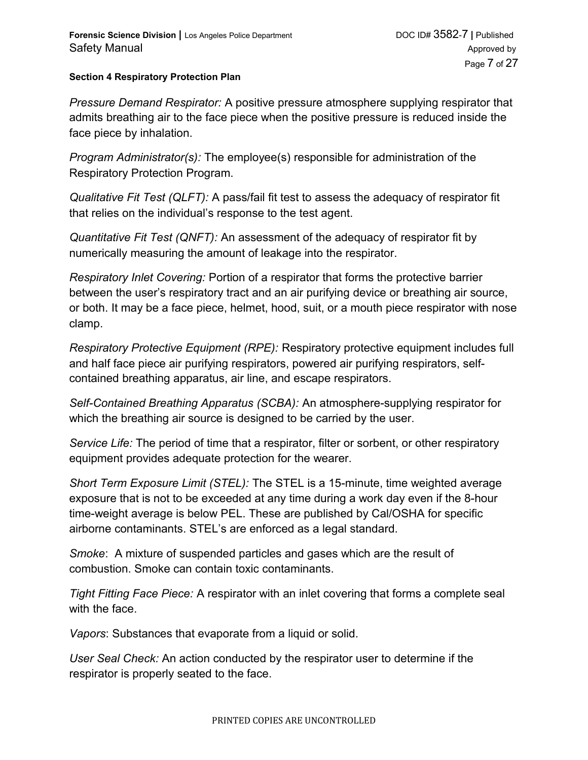*Pressure Demand Respirator:* A positive pressure atmosphere supplying respirator that admits breathing air to the face piece when the positive pressure is reduced inside the face piece by inhalation.

*Program Administrator(s):* The employee(s) responsible for administration of the Respiratory Protection Program.

*Qualitative Fit Test (QLFT):* A pass/fail fit test to assess the adequacy of respirator fit that relies on the individual's response to the test agent.

*Quantitative Fit Test (QNFT):* An assessment of the adequacy of respirator fit by numerically measuring the amount of leakage into the respirator.

*Respiratory Inlet Covering:* Portion of a respirator that forms the protective barrier between the user's respiratory tract and an air purifying device or breathing air source, or both. It may be a face piece, helmet, hood, suit, or a mouth piece respirator with nose clamp.

*Respiratory Protective Equipment (RPE):* Respiratory protective equipment includes full and half face piece air purifying respirators, powered air purifying respirators, selfcontained breathing apparatus, air line, and escape respirators.

*Self-Contained Breathing Apparatus (SCBA):* An atmosphere-supplying respirator for which the breathing air source is designed to be carried by the user.

*Service Life:* The period of time that a respirator, filter or sorbent, or other respiratory equipment provides adequate protection for the wearer.

*Short Term Exposure Limit (STEL):* The STEL is a 15-minute, time weighted average exposure that is not to be exceeded at any time during a work day even if the 8-hour time-weight average is below PEL. These are published by Cal/OSHA for specific airborne contaminants. STEL's are enforced as a legal standard.

*Smoke*: A mixture of suspended particles and gases which are the result of combustion. Smoke can contain toxic contaminants.

*Tight Fitting Face Piece:* A respirator with an inlet covering that forms a complete seal with the face.

*Vapors*: Substances that evaporate from a liquid or solid.

*User Seal Check:* An action conducted by the respirator user to determine if the respirator is properly seated to the face.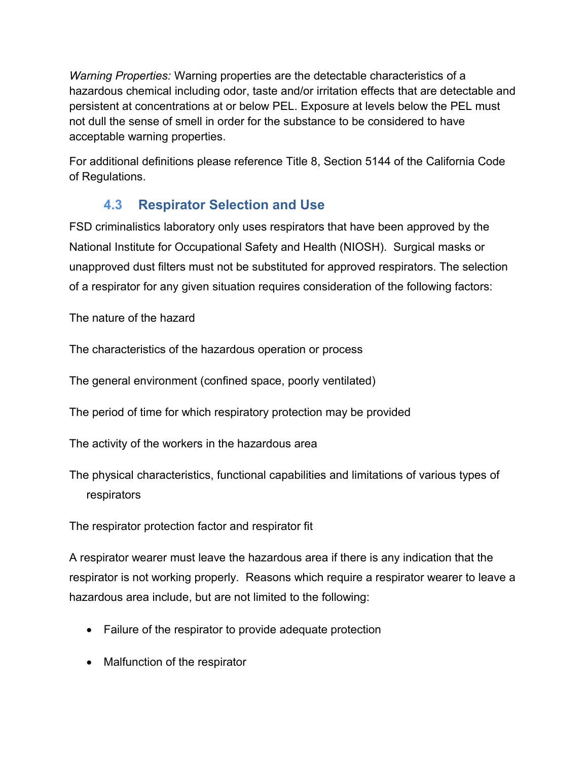*Warning Properties:* Warning properties are the detectable characteristics of a hazardous chemical including odor, taste and/or irritation effects that are detectable and persistent at concentrations at or below PEL. Exposure at levels below the PEL must not dull the sense of smell in order for the substance to be considered to have acceptable warning properties.

For additional definitions please reference Title 8, Section 5144 of the California Code of Regulations.

# **4.3 Respirator Selection and Use**

FSD criminalistics laboratory only uses respirators that have been approved by the National Institute for Occupational Safety and Health (NIOSH). Surgical masks or unapproved dust filters must not be substituted for approved respirators. The selection of a respirator for any given situation requires consideration of the following factors:

The nature of the hazard

The characteristics of the hazardous operation or process

The general environment (confined space, poorly ventilated)

The period of time for which respiratory protection may be provided

The activity of the workers in the hazardous area

The physical characteristics, functional capabilities and limitations of various types of respirators

The respirator protection factor and respirator fit

A respirator wearer must leave the hazardous area if there is any indication that the respirator is not working properly. Reasons which require a respirator wearer to leave a hazardous area include, but are not limited to the following:

- Failure of the respirator to provide adequate protection
- Malfunction of the respirator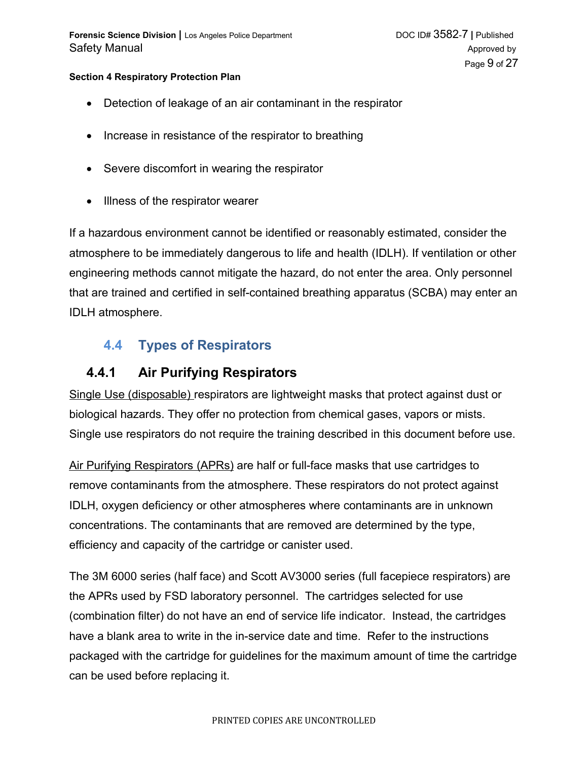- Detection of leakage of an air contaminant in the respirator
- Increase in resistance of the respirator to breathing
- Severe discomfort in wearing the respirator
- Illness of the respirator wearer

If a hazardous environment cannot be identified or reasonably estimated, consider the atmosphere to be immediately dangerous to life and health (IDLH). If ventilation or other engineering methods cannot mitigate the hazard, do not enter the area. Only personnel that are trained and certified in self-contained breathing apparatus (SCBA) may enter an IDLH atmosphere.

## **4.4 Types of Respirators**

### **4.4.1 Air Purifying Respirators**

Single Use (disposable) respirators are lightweight masks that protect against dust or biological hazards. They offer no protection from chemical gases, vapors or mists. Single use respirators do not require the training described in this document before use.

 Air Purifying Respirators (APRs) are half or full-face masks that use cartridges to remove contaminants from the atmosphere. These respirators do not protect against IDLH, oxygen deficiency or other atmospheres where contaminants are in unknown concentrations. The contaminants that are removed are determined by the type, efficiency and capacity of the cartridge or canister used.

The 3M 6000 series (half face) and Scott AV3000 series (full facepiece respirators) are the APRs used by FSD laboratory personnel. The cartridges selected for use (combination filter) do not have an end of service life indicator. Instead, the cartridges have a blank area to write in the in-service date and time. Refer to the instructions packaged with the cartridge for guidelines for the maximum amount of time the cartridge can be used before replacing it.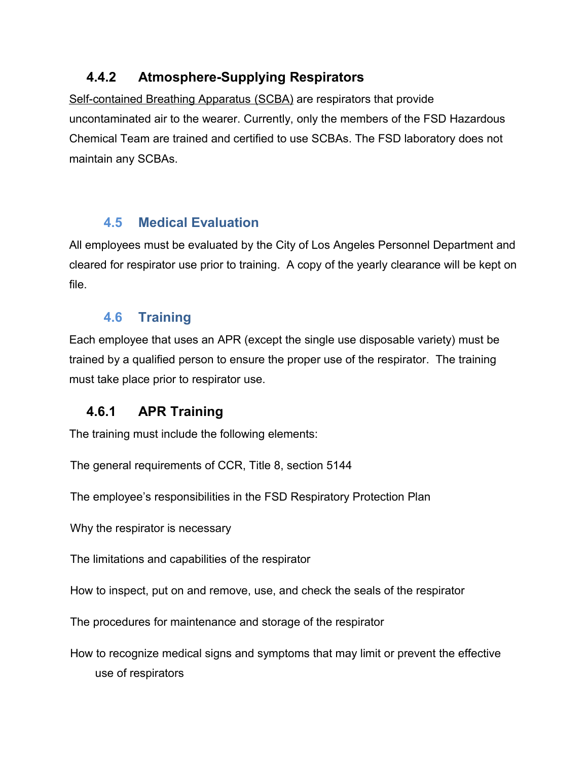## **4.4.2 Atmosphere-Supplying Respirators**

 Self-contained Breathing Apparatus (SCBA) are respirators that provide uncontaminated air to the wearer. Currently, only the members of the FSD Hazardous Chemical Team are trained and certified to use SCBAs. The FSD laboratory does not maintain any SCBAs.

## **4.5 Medical Evaluation**

All employees must be evaluated by the City of Los Angeles Personnel Department and cleared for respirator use prior to training. A copy of the yearly clearance will be kept on file.

## **4.6 Training**

Each employee that uses an APR (except the single use disposable variety) must be trained by a qualified person to ensure the proper use of the respirator. The training must take place prior to respirator use.

# **4.6.1 APR Training**

The training must include the following elements:

The general requirements of CCR, Title 8, section 5144

The employee's responsibilities in the FSD Respiratory Protection Plan

Why the respirator is necessary

The limitations and capabilities of the respirator

How to inspect, put on and remove, use, and check the seals of the respirator

The procedures for maintenance and storage of the respirator

How to recognize medical signs and symptoms that may limit or prevent the effective use of respirators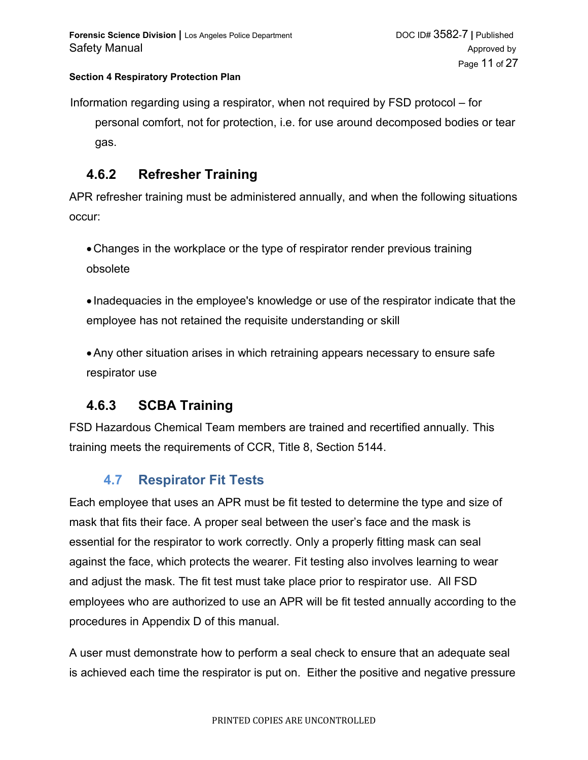Information regarding using a respirator, when not required by FSD protocol – for personal comfort, not for protection, i.e. for use around decomposed bodies or tear gas.

### **4.6.2 Refresher Training**

APR refresher training must be administered annually, and when the following situations occur:

Changes in the workplace or the type of respirator render previous training obsolete

• Inadequacies in the employee's knowledge or use of the respirator indicate that the employee has not retained the requisite understanding or skill

Any other situation arises in which retraining appears necessary to ensure safe respirator use

## **4.6.3 SCBA Training**

FSD Hazardous Chemical Team members are trained and recertified annually. This training meets the requirements of CCR, Title 8, Section 5144.

## **4.7 Respirator Fit Tests**

Each employee that uses an APR must be fit tested to determine the type and size of mask that fits their face. A proper seal between the user's face and the mask is essential for the respirator to work correctly. Only a properly fitting mask can seal against the face, which protects the wearer. Fit testing also involves learning to wear and adjust the mask. The fit test must take place prior to respirator use. All FSD employees who are authorized to use an APR will be fit tested annually according to the procedures in Appendix D of this manual.

A user must demonstrate how to perform a seal check to ensure that an adequate seal is achieved each time the respirator is put on. Either the positive and negative pressure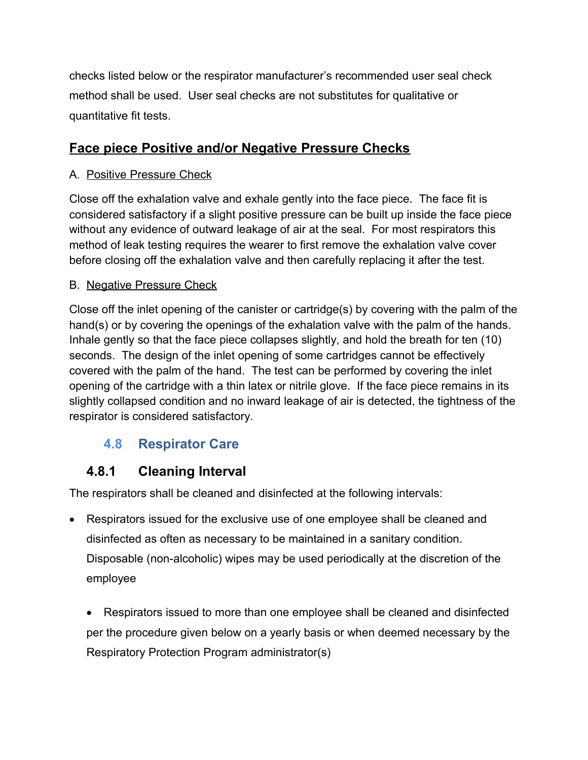checks listed below or the respirator manufacturer's recommended user seal check method shall be used. User seal checks are not substitutes for qualitative or quantitative fit tests.

## **Face piece Positive and/or Negative Pressure Checks**

### A. Positive Pressure Check

Close off the exhalation valve and exhale gently into the face piece. The face fit is considered satisfactory if a slight positive pressure can be built up inside the face piece without any evidence of outward leakage of air at the seal. For most respirators this method of leak testing requires the wearer to first remove the exhalation valve cover before closing off the exhalation valve and then carefully replacing it after the test.

### B. Negative Pressure Check

Close off the inlet opening of the canister or cartridge(s) by covering with the palm of the hand(s) or by covering the openings of the exhalation valve with the palm of the hands. Inhale gently so that the face piece collapses slightly, and hold the breath for ten (10) seconds. The design of the inlet opening of some cartridges cannot be effectively covered with the palm of the hand. The test can be performed by covering the inlet opening of the cartridge with a thin latex or nitrile glove. If the face piece remains in its slightly collapsed condition and no inward leakage of air is detected, the tightness of the respirator is considered satisfactory.

# **4.8 Respirator Care**

# **4.8.1 Cleaning Interval**

The respirators shall be cleaned and disinfected at the following intervals:

 Respirators issued for the exclusive use of one employee shall be cleaned and disinfected as often as necessary to be maintained in a sanitary condition. Disposable (non-alcoholic) wipes may be used periodically at the discretion of the employee

 Respirators issued to more than one employee shall be cleaned and disinfected per the procedure given below on a yearly basis or when deemed necessary by the Respiratory Protection Program administrator(s)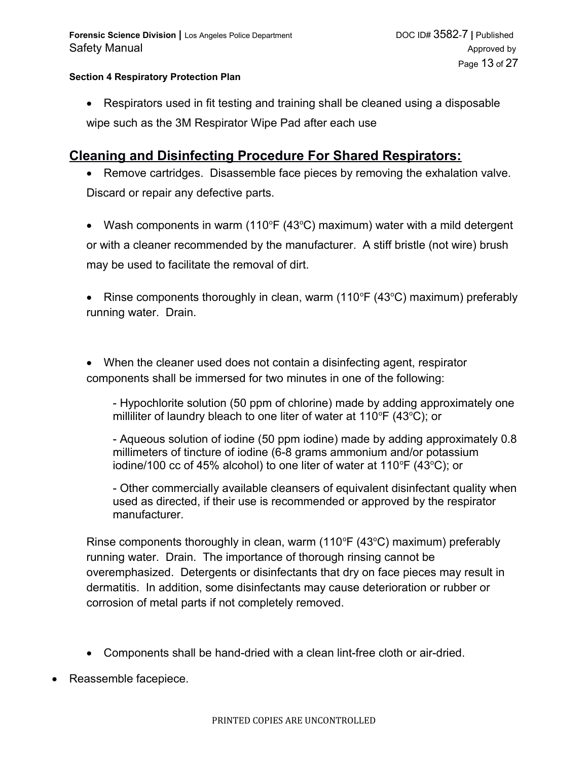Respirators used in fit testing and training shall be cleaned using a disposable wipe such as the 3M Respirator Wipe Pad after each use

### **Cleaning and Disinfecting Procedure For Shared Respirators:**

- Remove cartridges. Disassemble face pieces by removing the exhalation valve. Discard or repair any defective parts.
- Wash components in warm (110°F (43°C) maximum) water with a mild detergent or with a cleaner recommended by the manufacturer. A stiff bristle (not wire) brush may be used to facilitate the removal of dirt.

• Rinse components thoroughly in clean, warm  $(110^{\circ}F (43^{\circ}C)$  maximum) preferably running water. Drain.

 When the cleaner used does not contain a disinfecting agent, respirator components shall be immersed for two minutes in one of the following:

- Hypochlorite solution (50 ppm of chlorine) made by adding approximately one milliliter of laundry bleach to one liter of water at 110 $\mathrm{P}F(43\mathrm{°C})$ ; or

- Aqueous solution of iodine (50 ppm iodine) made by adding approximately 0.8 millimeters of tincture of iodine (6-8 grams ammonium and/or potassium iodine/100 cc of 45% alcohol) to one liter of water at 110 $\mathrm{P}F(43\mathrm{°C})$ ; or

- Other commercially available cleansers of equivalent disinfectant quality when used as directed, if their use is recommended or approved by the respirator manufacturer.

Rinse components thoroughly in clean, warm (110 $\degree$ F (43 $\degree$ C) maximum) preferably running water. Drain. The importance of thorough rinsing cannot be overemphasized. Detergents or disinfectants that dry on face pieces may result in dermatitis. In addition, some disinfectants may cause deterioration or rubber or corrosion of metal parts if not completely removed.

- Components shall be hand-dried with a clean lint-free cloth or air-dried.
- Reassemble facepiece.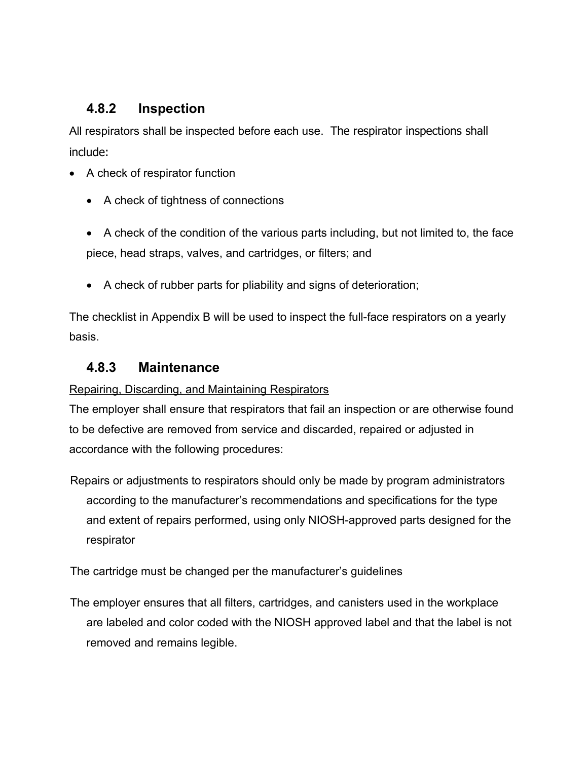## **4.8.2 Inspection**

All respirators shall be inspected before each use. The respirator inspections shall include:

- A check of respirator function
	- A check of tightness of connections

 A check of the condition of the various parts including, but not limited to, the face piece, head straps, valves, and cartridges, or filters; and

A check of rubber parts for pliability and signs of deterioration;

The checklist in Appendix B will be used to inspect the full-face respirators on a yearly basis.

## **4.8.3 Maintenance**

Repairing, Discarding, and Maintaining Respirators

The employer shall ensure that respirators that fail an inspection or are otherwise found to be defective are removed from service and discarded, repaired or adjusted in accordance with the following procedures:

Repairs or adjustments to respirators should only be made by program administrators according to the manufacturer's recommendations and specifications for the type and extent of repairs performed, using only NIOSH-approved parts designed for the respirator

The cartridge must be changed per the manufacturer's guidelines

The employer ensures that all filters, cartridges, and canisters used in the workplace are labeled and color coded with the NIOSH approved label and that the label is not removed and remains legible.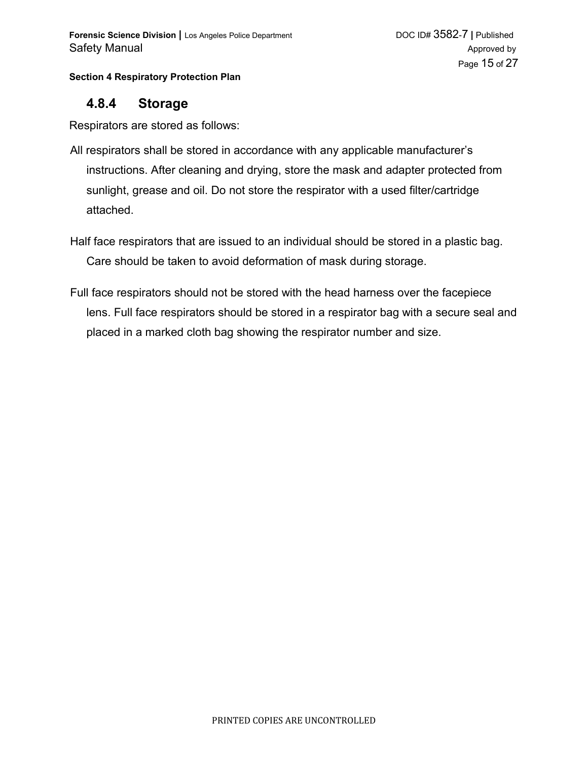### **4.8.4 Storage**

Respirators are stored as follows:

- All respirators shall be stored in accordance with any applicable manufacturer's instructions. After cleaning and drying, store the mask and adapter protected from sunlight, grease and oil. Do not store the respirator with a used filter/cartridge attached.
- Half face respirators that are issued to an individual should be stored in a plastic bag. Care should be taken to avoid deformation of mask during storage.
- Full face respirators should not be stored with the head harness over the facepiece lens. Full face respirators should be stored in a respirator bag with a secure seal and placed in a marked cloth bag showing the respirator number and size.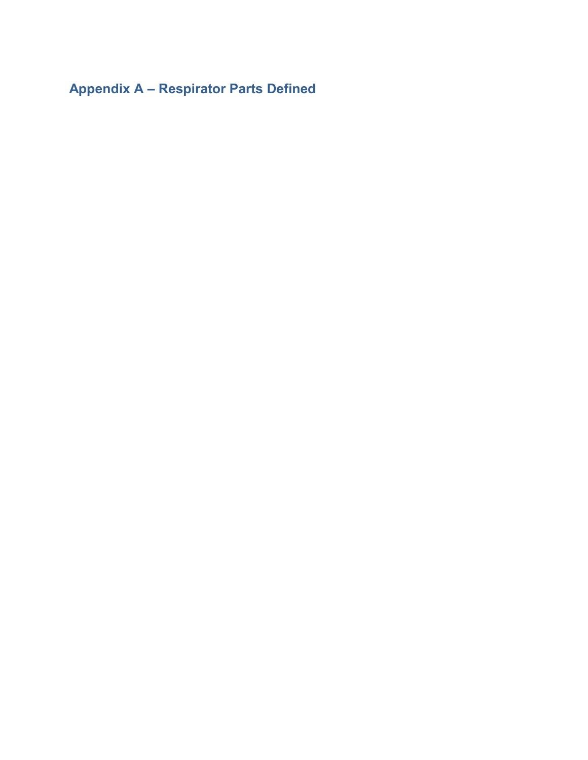**Appendix A – Respirator Parts Defined**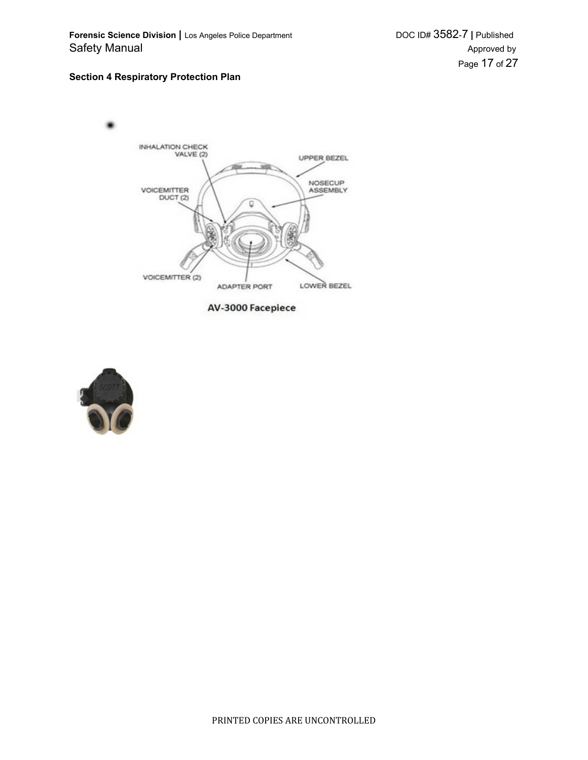

AV-3000 Facepiece

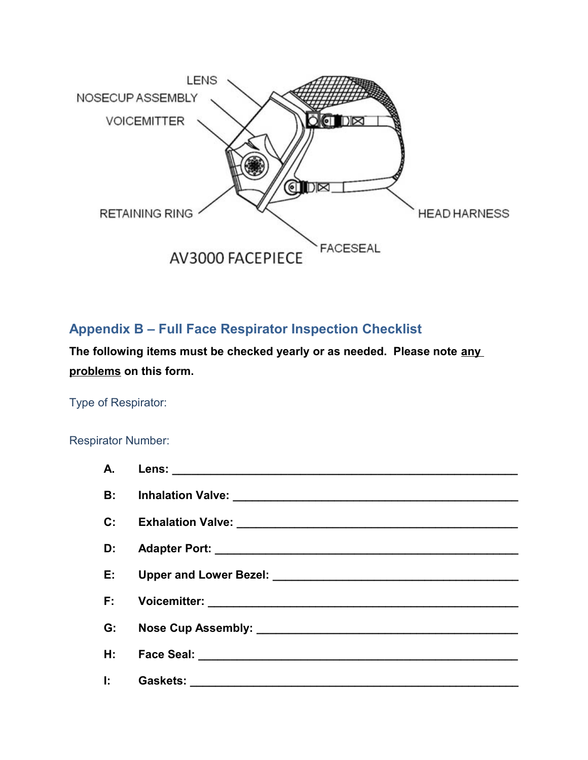

## **Appendix B – Full Face Respirator Inspection Checklist**

**The following items must be checked yearly or as needed. Please note any problems on this form.**

Type of Respirator:

### Respirator Number:

| A.             |                                          |
|----------------|------------------------------------------|
| <b>B:</b>      |                                          |
| $\mathbf{C}$ : |                                          |
| D:             |                                          |
| E:             |                                          |
| F:             |                                          |
| G:             |                                          |
| H: .           |                                          |
| Ŀ.             | Gaskets: _______________________________ |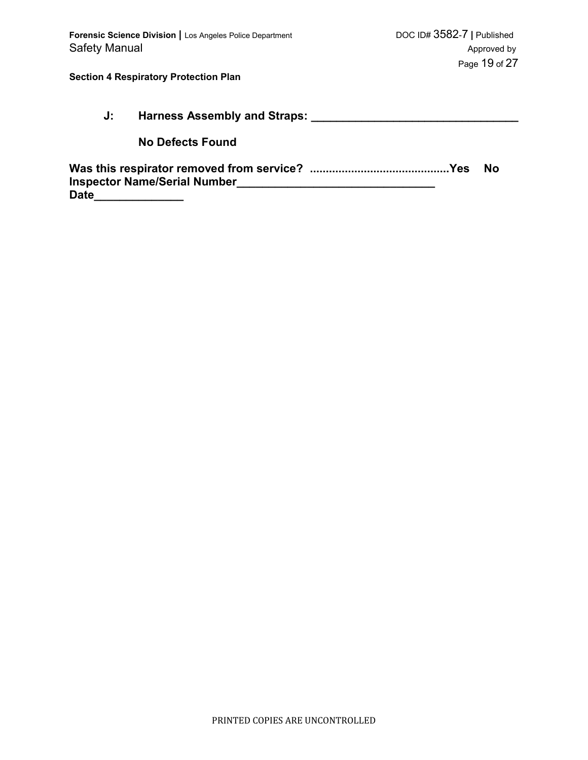|             | J: Harness Assembly and Straps:     |  |    |
|-------------|-------------------------------------|--|----|
|             | <b>No Defects Found</b>             |  |    |
| <b>Date</b> | <b>Inspector Name/Serial Number</b> |  | Nο |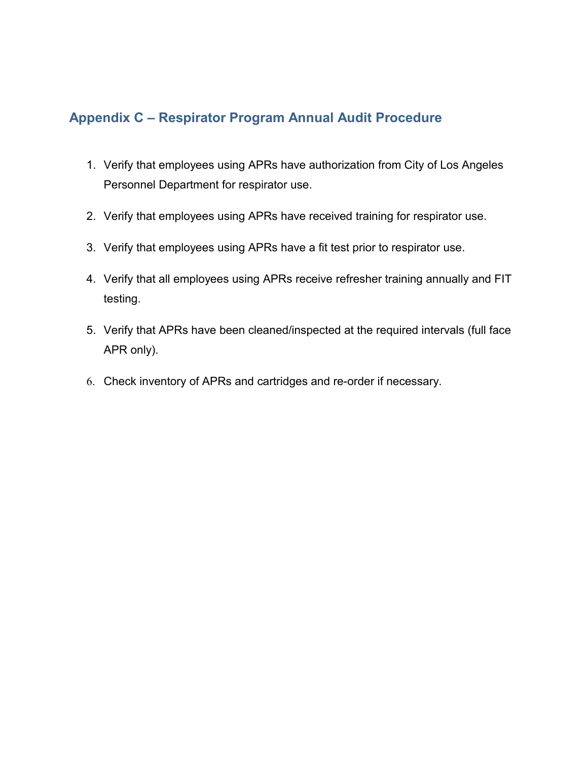## **Appendix C – Respirator Program Annual Audit Procedure**

- 1. Verify that employees using APRs have authorization from City of Los Angeles Personnel Department for respirator use.
- 2. Verify that employees using APRs have received training for respirator use.
- 3. Verify that employees using APRs have a fit test prior to respirator use.
- 4. Verify that all employees using APRs receive refresher training annually and FIT testing.
- 5. Verify that APRs have been cleaned/inspected at the required intervals (full face APR only).
- 6. Check inventory of APRs and cartridges and re-order if necessary.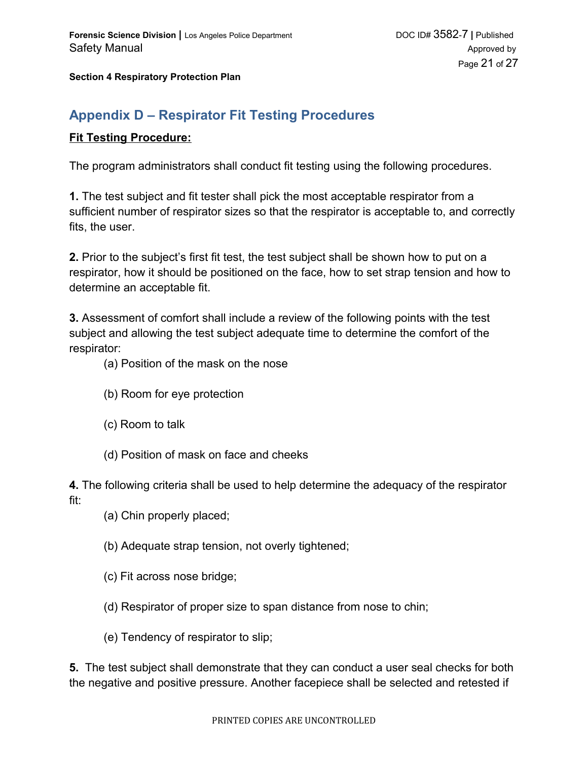## **Appendix D – Respirator Fit Testing Procedures**

#### **Fit Testing Procedure:**

The program administrators shall conduct fit testing using the following procedures.

**1.** The test subject and fit tester shall pick the most acceptable respirator from a sufficient number of respirator sizes so that the respirator is acceptable to, and correctly fits, the user.

**2.** Prior to the subject's first fit test, the test subject shall be shown how to put on a respirator, how it should be positioned on the face, how to set strap tension and how to determine an acceptable fit.

**3.** Assessment of comfort shall include a review of the following points with the test subject and allowing the test subject adequate time to determine the comfort of the respirator:

(a) Position of the mask on the nose

- (b) Room for eye protection
- (c) Room to talk
- (d) Position of mask on face and cheeks

**4.** The following criteria shall be used to help determine the adequacy of the respirator fit:

- (a) Chin properly placed;
- (b) Adequate strap tension, not overly tightened;
- (c) Fit across nose bridge;
- (d) Respirator of proper size to span distance from nose to chin;
- (e) Tendency of respirator to slip;

**5.** The test subject shall demonstrate that they can conduct a user seal checks for both the negative and positive pressure. Another facepiece shall be selected and retested if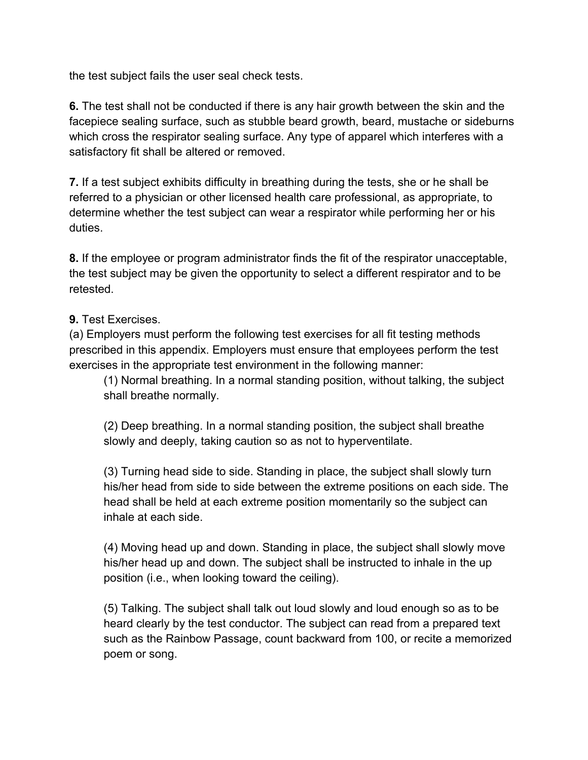the test subject fails the user seal check tests.

**6.** The test shall not be conducted if there is any hair growth between the skin and the facepiece sealing surface, such as stubble beard growth, beard, mustache or sideburns which cross the respirator sealing surface. Any type of apparel which interferes with a satisfactory fit shall be altered or removed.

**7.** If a test subject exhibits difficulty in breathing during the tests, she or he shall be referred to a physician or other licensed health care professional, as appropriate, to determine whether the test subject can wear a respirator while performing her or his duties.

**8.** If the employee or program administrator finds the fit of the respirator unacceptable, the test subject may be given the opportunity to select a different respirator and to be retested.

#### **9.** Test Exercises.

(a) Employers must perform the following test exercises for all fit testing methods prescribed in this appendix. Employers must ensure that employees perform the test exercises in the appropriate test environment in the following manner:

(1) Normal breathing. In a normal standing position, without talking, the subject shall breathe normally.

(2) Deep breathing. In a normal standing position, the subject shall breathe slowly and deeply, taking caution so as not to hyperventilate.

(3) Turning head side to side. Standing in place, the subject shall slowly turn his/her head from side to side between the extreme positions on each side. The head shall be held at each extreme position momentarily so the subject can inhale at each side.

(4) Moving head up and down. Standing in place, the subject shall slowly move his/her head up and down. The subject shall be instructed to inhale in the up position (i.e., when looking toward the ceiling).

(5) Talking. The subject shall talk out loud slowly and loud enough so as to be heard clearly by the test conductor. The subject can read from a prepared text such as the Rainbow Passage, count backward from 100, or recite a memorized poem or song.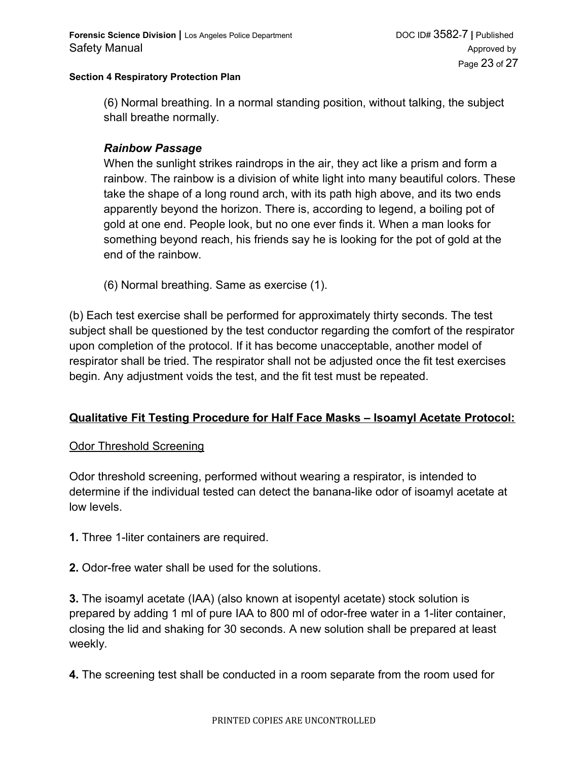(6) Normal breathing. In a normal standing position, without talking, the subject shall breathe normally.

#### *Rainbow Passage*

When the sunlight strikes raindrops in the air, they act like a prism and form a rainbow. The rainbow is a division of white light into many beautiful colors. These take the shape of a long round arch, with its path high above, and its two ends apparently beyond the horizon. There is, according to legend, a boiling pot of gold at one end. People look, but no one ever finds it. When a man looks for something beyond reach, his friends say he is looking for the pot of gold at the end of the rainbow.

(6) Normal breathing. Same as exercise (1).

(b) Each test exercise shall be performed for approximately thirty seconds. The test subject shall be questioned by the test conductor regarding the comfort of the respirator upon completion of the protocol. If it has become unacceptable, another model of respirator shall be tried. The respirator shall not be adjusted once the fit test exercises begin. Any adjustment voids the test, and the fit test must be repeated.

### **Qualitative Fit Testing Procedure for Half Face Masks – Isoamyl Acetate Protocol:**

#### **Odor Threshold Screening**

Odor threshold screening, performed without wearing a respirator, is intended to determine if the individual tested can detect the banana-like odor of isoamyl acetate at low levels.

- **1.** Three 1-liter containers are required.
- **2.** Odor-free water shall be used for the solutions.

**3.** The isoamyl acetate (IAA) (also known at isopentyl acetate) stock solution is prepared by adding 1 ml of pure IAA to 800 ml of odor-free water in a 1-liter container, closing the lid and shaking for 30 seconds. A new solution shall be prepared at least weekly.

**4.** The screening test shall be conducted in a room separate from the room used for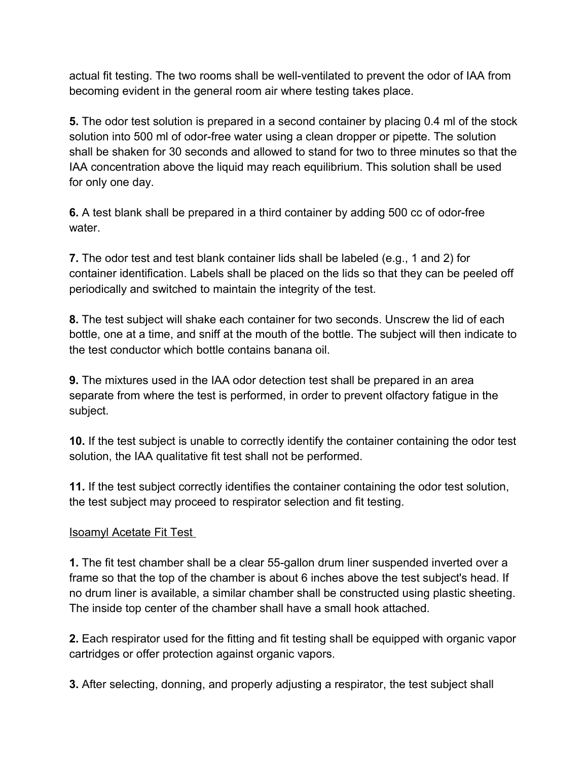actual fit testing. The two rooms shall be well-ventilated to prevent the odor of IAA from becoming evident in the general room air where testing takes place.

**5.** The odor test solution is prepared in a second container by placing 0.4 ml of the stock solution into 500 ml of odor-free water using a clean dropper or pipette. The solution shall be shaken for 30 seconds and allowed to stand for two to three minutes so that the IAA concentration above the liquid may reach equilibrium. This solution shall be used for only one day.

**6.** A test blank shall be prepared in a third container by adding 500 cc of odor-free water.

**7.** The odor test and test blank container lids shall be labeled (e.g., 1 and 2) for container identification. Labels shall be placed on the lids so that they can be peeled off periodically and switched to maintain the integrity of the test.

**8.** The test subject will shake each container for two seconds. Unscrew the lid of each bottle, one at a time, and sniff at the mouth of the bottle. The subject will then indicate to the test conductor which bottle contains banana oil.

**9.** The mixtures used in the IAA odor detection test shall be prepared in an area separate from where the test is performed, in order to prevent olfactory fatigue in the subject.

**10.** If the test subject is unable to correctly identify the container containing the odor test solution, the IAA qualitative fit test shall not be performed.

**11.** If the test subject correctly identifies the container containing the odor test solution, the test subject may proceed to respirator selection and fit testing.

### Isoamyl Acetate Fit Test

**1.** The fit test chamber shall be a clear 55-gallon drum liner suspended inverted over a frame so that the top of the chamber is about 6 inches above the test subject's head. If no drum liner is available, a similar chamber shall be constructed using plastic sheeting. The inside top center of the chamber shall have a small hook attached.

**2.** Each respirator used for the fitting and fit testing shall be equipped with organic vapor cartridges or offer protection against organic vapors.

**3.** After selecting, donning, and properly adjusting a respirator, the test subject shall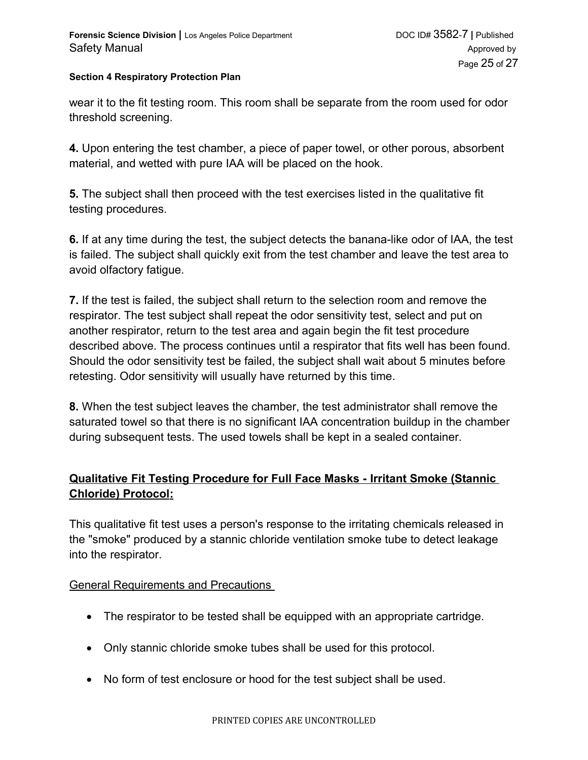wear it to the fit testing room. This room shall be separate from the room used for odor threshold screening.

**4.** Upon entering the test chamber, a piece of paper towel, or other porous, absorbent material, and wetted with pure IAA will be placed on the hook.

**5.** The subject shall then proceed with the test exercises listed in the qualitative fit testing procedures.

**6.** If at any time during the test, the subject detects the banana-like odor of IAA, the test is failed. The subject shall quickly exit from the test chamber and leave the test area to avoid olfactory fatigue.

**7.** If the test is failed, the subject shall return to the selection room and remove the respirator. The test subject shall repeat the odor sensitivity test, select and put on another respirator, return to the test area and again begin the fit test procedure described above. The process continues until a respirator that fits well has been found. Should the odor sensitivity test be failed, the subject shall wait about 5 minutes before retesting. Odor sensitivity will usually have returned by this time.

**8.** When the test subject leaves the chamber, the test administrator shall remove the saturated towel so that there is no significant IAA concentration buildup in the chamber during subsequent tests. The used towels shall be kept in a sealed container.

### **Qualitative Fit Testing Procedure for Full Face Masks - Irritant Smoke (Stannic Chloride) Protocol:**

This qualitative fit test uses a person's response to the irritating chemicals released in the "smoke" produced by a stannic chloride ventilation smoke tube to detect leakage into the respirator.

#### General Requirements and Precautions

- The respirator to be tested shall be equipped with an appropriate cartridge.
- Only stannic chloride smoke tubes shall be used for this protocol.
- No form of test enclosure or hood for the test subject shall be used.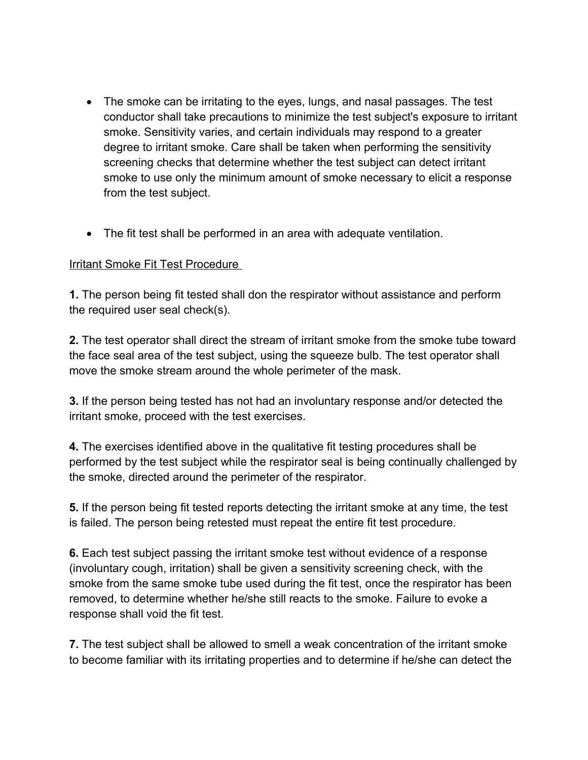- The smoke can be irritating to the eyes, lungs, and nasal passages. The test conductor shall take precautions to minimize the test subject's exposure to irritant smoke. Sensitivity varies, and certain individuals may respond to a greater degree to irritant smoke. Care shall be taken when performing the sensitivity screening checks that determine whether the test subject can detect irritant smoke to use only the minimum amount of smoke necessary to elicit a response from the test subject.
- The fit test shall be performed in an area with adequate ventilation.

### Irritant Smoke Fit Test Procedure

**1.** The person being fit tested shall don the respirator without assistance and perform the required user seal check(s).

**2.** The test operator shall direct the stream of irritant smoke from the smoke tube toward the face seal area of the test subject, using the squeeze bulb. The test operator shall move the smoke stream around the whole perimeter of the mask.

**3.** If the person being tested has not had an involuntary response and/or detected the irritant smoke, proceed with the test exercises.

**4.** The exercises identified above in the qualitative fit testing procedures shall be performed by the test subject while the respirator seal is being continually challenged by the smoke, directed around the perimeter of the respirator.

**5.** If the person being fit tested reports detecting the irritant smoke at any time, the test is failed. The person being retested must repeat the entire fit test procedure.

**6.** Each test subject passing the irritant smoke test without evidence of a response (involuntary cough, irritation) shall be given a sensitivity screening check, with the smoke from the same smoke tube used during the fit test, once the respirator has been removed, to determine whether he/she still reacts to the smoke. Failure to evoke a response shall void the fit test.

**7.** The test subject shall be allowed to smell a weak concentration of the irritant smoke to become familiar with its irritating properties and to determine if he/she can detect the